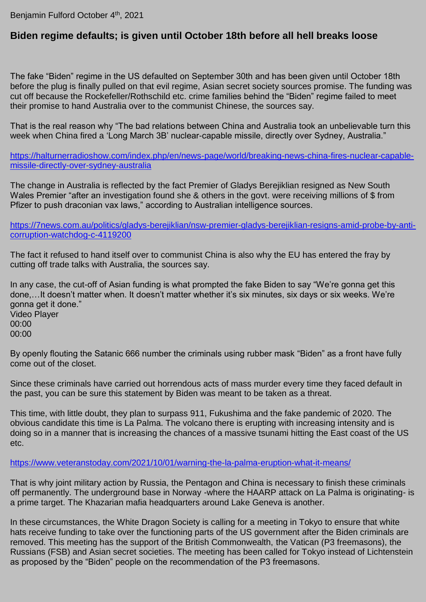Benjamin Fulford October 4<sup>th</sup>, 2021

## **Biden regime defaults; is given until October 18th before all hell breaks loose**

The fake "Biden" regime in the US defaulted on September 30th and has been given until October 18th before the plug is finally pulled on that evil regime, Asian secret society sources promise. The funding was cut off because the Rockefeller/Rothschild etc. crime families behind the "Biden" regime failed to meet their promise to hand Australia over to the communist Chinese, the sources say.

That is the real reason why "The bad relations between China and Australia took an unbelievable turn this week when China fired a 'Long March 3B' nuclear-capable missile, directly over Sydney, Australia."

[https://halturnerradioshow.com/index.php/en/news-page/world/breaking-news-china-fires-nuclear-capable](https://halturnerradioshow.com/index.php/en/news-page/world/breaking-news-china-fires-nuclear-capable-missile-directly-over-sydney-australia)[missile-directly-over-sydney-australia](https://halturnerradioshow.com/index.php/en/news-page/world/breaking-news-china-fires-nuclear-capable-missile-directly-over-sydney-australia)

The change in Australia is reflected by the fact Premier of Gladys Berejiklian resigned as New South Wales Premier "after an investigation found she & others in the govt. were receiving millions of \$ from Pfizer to push draconian vax laws," according to Australian intelligence sources.

[https://7news.com.au/politics/gladys-berejiklian/nsw-premier-gladys-berejiklian-resigns-amid-probe-by-anti](https://7news.com.au/politics/gladys-berejiklian/nsw-premier-gladys-berejiklian-resigns-amid-probe-by-anti-corruption-watchdog-c-4119200)[corruption-watchdog-c-4119200](https://7news.com.au/politics/gladys-berejiklian/nsw-premier-gladys-berejiklian-resigns-amid-probe-by-anti-corruption-watchdog-c-4119200)

The fact it refused to hand itself over to communist China is also why the EU has entered the fray by cutting off trade talks with Australia, the sources say.

In any case, the cut-off of Asian funding is what prompted the fake Biden to say "We're gonna get this done,…It doesn't matter when. It doesn't matter whether it's six minutes, six days or six weeks. We're gonna get it done." Video Player 00:00

00:00

By openly flouting the Satanic 666 number the criminals using rubber mask "Biden" as a front have fully come out of the closet.

Since these criminals have carried out horrendous acts of mass murder every time they faced default in the past, you can be sure this statement by Biden was meant to be taken as a threat.

This time, with little doubt, they plan to surpass 911, Fukushima and the fake pandemic of 2020. The obvious candidate this time is La Palma. The volcano there is erupting with increasing intensity and is doing so in a manner that is increasing the chances of a massive tsunami hitting the East coast of the US etc.

<https://www.veteranstoday.com/2021/10/01/warning-the-la-palma-eruption-what-it-means/>

That is why joint military action by Russia, the Pentagon and China is necessary to finish these criminals off permanently. The underground base in Norway -where the HAARP attack on La Palma is originating- is a prime target. The Khazarian mafia headquarters around Lake Geneva is another.

In these circumstances, the White Dragon Society is calling for a meeting in Tokyo to ensure that white hats receive funding to take over the functioning parts of the US government after the Biden criminals are removed. This meeting has the support of the British Commonwealth, the Vatican (P3 freemasons), the Russians (FSB) and Asian secret societies. The meeting has been called for Tokyo instead of Lichtenstein as proposed by the "Biden" people on the recommendation of the P3 freemasons.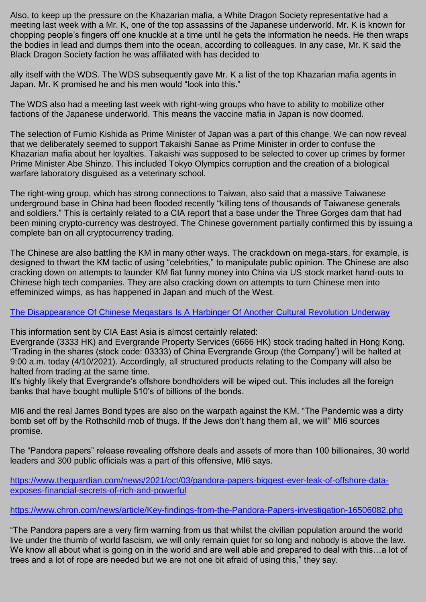Also, to keep up the pressure on the Khazarian mafia, a White Dragon Society representative had a meeting last week with a Mr. K, one of the top assassins of the Japanese underworld. Mr. K is known for chopping people's fingers off one knuckle at a time until he gets the information he needs. He then wraps the bodies in lead and dumps them into the ocean, according to colleagues. In any case, Mr. K said the Black Dragon Society faction he was affiliated with has decided to

ally itself with the WDS. The WDS subsequently gave Mr. K a list of the top Khazarian mafia agents in Japan. Mr. K promised he and his men would "look into this."

The WDS also had a meeting last week with right-wing groups who have to ability to mobilize other factions of the Japanese underworld. This means the vaccine mafia in Japan is now doomed.

The selection of Fumio Kishida as Prime Minister of Japan was a part of this change. We can now reveal that we deliberately seemed to support Takaishi Sanae as Prime Minister in order to confuse the Khazarian mafia about her loyalties. Takaishi was supposed to be selected to cover up crimes by former Prime Minister Abe Shinzo. This included Tokyo Olympics corruption and the creation of a biological warfare laboratory disguised as a veterinary school.

The right-wing group, which has strong connections to Taiwan, also said that a massive Taiwanese underground base in China had been flooded recently "killing tens of thousands of Taiwanese generals and soldiers." This is certainly related to a CIA report that a base under the Three Gorges dam that had been mining crypto-currency was destroyed. The Chinese government partially confirmed this by issuing a complete ban on all cryptocurrency trading.

The Chinese are also battling the KM in many other ways. The crackdown on mega-stars, for example, is designed to thwart the KM tactic of using "celebrities," to manipulate public opinion. The Chinese are also cracking down on attempts to launder KM fiat funny money into China via US stock market hand-outs to Chinese high tech companies. They are also cracking down on attempts to turn Chinese men into effeminized wimps, as has happened in Japan and much of the West.

[The Disappearance Of Chinese Megastars Is A Harbinger Of Another Cultural Revolution Underway](https://thefederalist.com/2021/10/01/the-disappearance-of-chinese-megastars-is-a-harbinger-of-another-cultural-revolution-underway/)

This information sent by CIA East Asia is almost certainly related:

Evergrande (3333 HK) and Evergrande Property Services (6666 HK) stock trading halted in Hong Kong. "Trading in the shares (stock code: 03333) of China Evergrande Group (the Company') will be halted at 9:00 a.m. today (4/10/2021). Accordingly, all structured products relating to the Company will also be halted from trading at the same time.

It's highly likely that Evergrande's offshore bondholders will be wiped out. This includes all the foreign banks that have bought multiple \$10's of billions of the bonds.

MI6 and the real James Bond types are also on the warpath against the KM. "The Pandemic was a dirty bomb set off by the Rothschild mob of thugs. If the Jews don't hang them all, we will" MI6 sources promise.

The "Pandora papers" release revealing offshore deals and assets of more than 100 billionaires, 30 world leaders and 300 public officials was a part of this offensive, MI6 says.

[https://www.theguardian.com/news/2021/oct/03/pandora-papers-biggest-ever-leak-of-offshore-data](https://www.theguardian.com/news/2021/oct/03/pandora-papers-biggest-ever-leak-of-offshore-data-exposes-financial-secrets-of-rich-and-powerful)[exposes-financial-secrets-of-rich-and-powerful](https://www.theguardian.com/news/2021/oct/03/pandora-papers-biggest-ever-leak-of-offshore-data-exposes-financial-secrets-of-rich-and-powerful)

<https://www.chron.com/news/article/Key-findings-from-the-Pandora-Papers-investigation-16506082.php>

"The Pandora papers are a very firm warning from us that whilst the civilian population around the world live under the thumb of world fascism, we will only remain quiet for so long and nobody is above the law. We know all about what is going on in the world and are well able and prepared to deal with this…a lot of trees and a lot of rope are needed but we are not one bit afraid of using this," they say.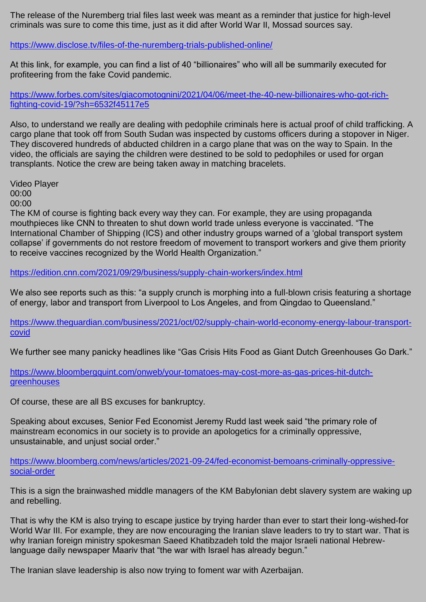The release of the Nuremberg trial files last week was meant as a reminder that justice for high-level criminals was sure to come this time, just as it did after World War II, Mossad sources say.

<https://www.disclose.tv/files-of-the-nuremberg-trials-published-online/>

At this link, for example, you can find a list of 40 "billionaires" who will all be summarily executed for profiteering from the fake Covid pandemic.

[https://www.forbes.com/sites/giacomotognini/2021/04/06/meet-the-40-new-billionaires-who-got-rich](https://www.forbes.com/sites/giacomotognini/2021/04/06/meet-the-40-new-billionaires-who-got-rich-fighting-covid-19/?sh=6532f45117e5)[fighting-covid-19/?sh=6532f45117e5](https://www.forbes.com/sites/giacomotognini/2021/04/06/meet-the-40-new-billionaires-who-got-rich-fighting-covid-19/?sh=6532f45117e5)

Also, to understand we really are dealing with pedophile criminals here is actual proof of child trafficking. A cargo plane that took off from South Sudan was inspected by customs officers during a stopover in Niger. They discovered hundreds of abducted children in a cargo plane that was on the way to Spain. In the video, the officials are saying the children were destined to be sold to pedophiles or used for organ transplants. Notice the crew are being taken away in matching bracelets.

Video Player 00:00 00:00

The KM of course is fighting back every way they can. For example, they are using propaganda mouthpieces like CNN to threaten to shut down world trade unless everyone is vaccinated. "The International Chamber of Shipping (ICS) and other industry groups warned of a 'global transport system collapse' if governments do not restore freedom of movement to transport workers and give them priority to receive vaccines recognized by the World Health Organization."

<https://edition.cnn.com/2021/09/29/business/supply-chain-workers/index.html>

We also see reports such as this: "a supply crunch is morphing into a full-blown crisis featuring a shortage of energy, labor and transport from Liverpool to Los Angeles, and from Qingdao to Queensland."

[https://www.theguardian.com/business/2021/oct/02/supply-chain-world-economy-energy-labour-transport](https://www.theguardian.com/business/2021/oct/02/supply-chain-world-economy-energy-labour-transport-covid)[covid](https://www.theguardian.com/business/2021/oct/02/supply-chain-world-economy-energy-labour-transport-covid)

We further see many panicky headlines like "Gas Crisis Hits Food as Giant Dutch Greenhouses Go Dark."

[https://www.bloombergquint.com/onweb/your-tomatoes-may-cost-more-as-gas-prices-hit-dutch](https://www.bloombergquint.com/onweb/your-tomatoes-may-cost-more-as-gas-prices-hit-dutch-greenhouses)[greenhouses](https://www.bloombergquint.com/onweb/your-tomatoes-may-cost-more-as-gas-prices-hit-dutch-greenhouses)

Of course, these are all BS excuses for bankruptcy.

Speaking about excuses, Senior Fed Economist Jeremy Rudd last week said "the primary role of mainstream economics in our society is to provide an apologetics for a criminally oppressive, unsustainable, and unjust social order."

[https://www.bloomberg.com/news/articles/2021-09-24/fed-economist-bemoans-criminally-oppressive](https://www.bloomberg.com/news/articles/2021-09-24/fed-economist-bemoans-criminally-oppressive-social-order)[social-order](https://www.bloomberg.com/news/articles/2021-09-24/fed-economist-bemoans-criminally-oppressive-social-order)

This is a sign the brainwashed middle managers of the KM Babylonian debt slavery system are waking up and rebelling.

That is why the KM is also trying to escape justice by trying harder than ever to start their long-wished-for World War III. For example, they are now encouraging the Iranian slave leaders to try to start war. That is why Iranian foreign ministry spokesman Saeed Khatibzadeh told the major Israeli national Hebrewlanguage daily newspaper Maariv that "the war with Israel has already begun."

The Iranian slave leadership is also now trying to foment war with Azerbaijan.